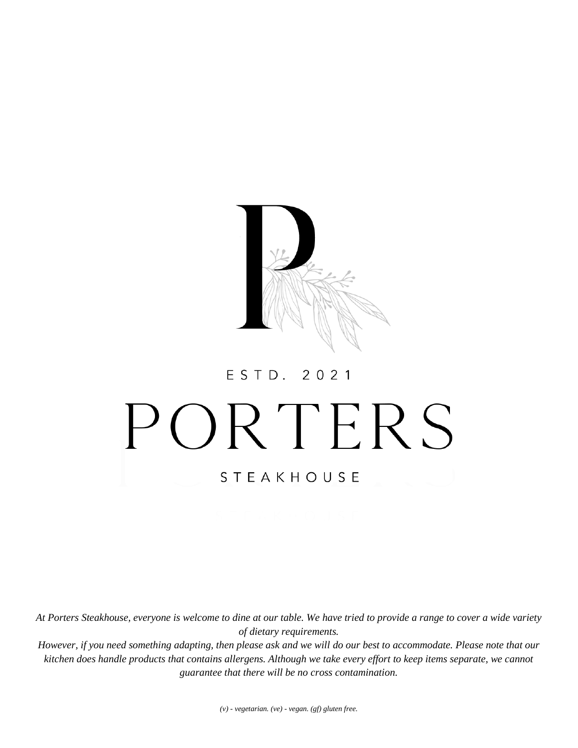

#### 2 0 2 1 ESTD.

# PORTERS **STEAKHOUSE**

*At Porters Steakhouse, everyone is welcome to dine at our table. We have tried to provide a range to cover a wide variety of dietary requirements.*

*However, if you need something adapting, then please ask and we will do our best to accommodate. Please note that our kitchen does handle products that contains allergens. Although we take every effort to keep items separate, we cannot guarantee that there will be no cross contamination.*

*(v) - vegetarian. (ve) - vegan. (gf) gluten free.*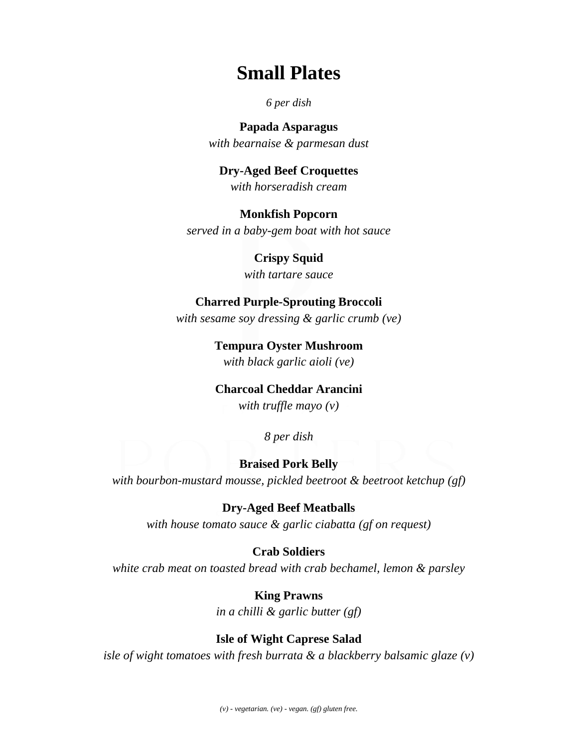# **Small Plates**

## *6 per dish*

**Papada Asparagus** *with bearnaise & parmesan dust*

# **Dry-Aged Beef Croquettes** *with horseradish cream*

**Monkfish Popcorn** *served in a baby-gem boat with hot sauce*

> **Crispy Squid** *with tartare sauce*

# **Charred Purple-Sprouting Broccoli**

*with sesame soy dressing & garlic crumb (ve)*

**Tempura Oyster Mushroom** *with black garlic aioli (ve)*

# **Charcoal Cheddar Arancini**

*with truffle mayo (v)*

*8 per dish* 

# **Braised Pork Belly**

*with bourbon-mustard mousse, pickled beetroot & beetroot ketchup (gf)*

**Dry-Aged Beef Meatballs** *with house tomato sauce & garlic ciabatta (gf on request)*

**Crab Soldiers**

*white crab meat on toasted bread with crab bechamel, lemon & parsley*

**King Prawns** *in a chilli & garlic butter (gf)*

# **Isle of Wight Caprese Salad**

*isle of wight tomatoes with fresh burrata & a blackberry balsamic glaze (v)*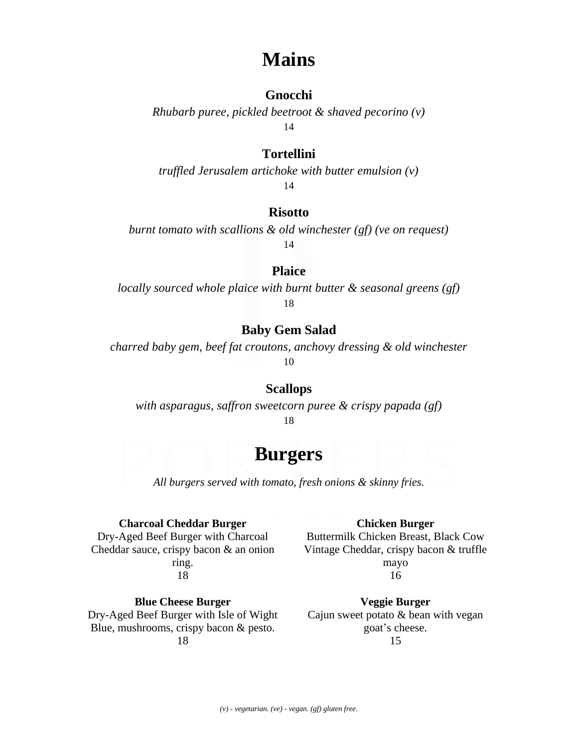# **Mains**

# **Gnocchi**

*Rhubarb puree, pickled beetroot & shaved pecorino (v)* 14

# **Tortellini**

*truffled Jerusalem artichoke with butter emulsion (v)* 14

#### **Risotto**

*burnt tomato with scallions & old winchester (gf) (ve on request)* 14

# **Plaice**

*locally sourced whole plaice with burnt butter & seasonal greens (gf)* 18

# **Baby Gem Salad**

*charred baby gem, beef fat croutons, anchovy dressing & old winchester* 10

#### **Scallops**

*with asparagus, saffron sweetcorn puree & crispy papada (gf)* 18

# **Burgers**

*All burgers served with tomato, fresh onions & skinny fries.*

#### **Charcoal Cheddar Burger**

Dry-Aged Beef Burger with Charcoal Cheddar sauce, crispy bacon & an onion ring. 18

**Blue Cheese Burger** Dry-Aged Beef Burger with Isle of Wight Blue, mushrooms, crispy bacon & pesto. 18

#### **Chicken Burger**

Buttermilk Chicken Breast, Black Cow Vintage Cheddar, crispy bacon & truffle mayo 16

**Veggie Burger** Cajun sweet potato & bean with vegan goat's cheese. 15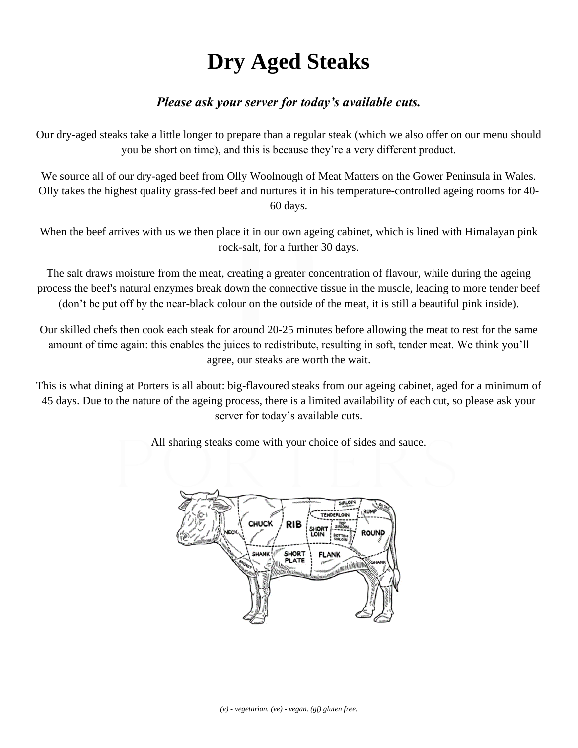# **Dry Aged Steaks**

# *Please ask your server for today's available cuts.*

Our dry-aged steaks take a little longer to prepare than a regular steak (which we also offer on our menu should you be short on time), and this is because they're a very different product.

We source all of our dry-aged beef from Olly Woolnough of Meat Matters on the Gower Peninsula in Wales. Olly takes the highest quality grass-fed beef and nurtures it in his temperature-controlled ageing rooms for 40- 60 days.

When the beef arrives with us we then place it in our own ageing cabinet, which is lined with Himalayan pink rock-salt, for a further 30 days.

The salt draws moisture from the meat, creating a greater concentration of flavour, while during the ageing process the beef's natural enzymes break down the connective tissue in the muscle, leading to more tender beef (don't be put off by the near-black colour on the outside of the meat, it is still a beautiful pink inside).

Our skilled chefs then cook each steak for around 20-25 minutes before allowing the meat to rest for the same amount of time again: this enables the juices to redistribute, resulting in soft, tender meat. We think you'll agree, our steaks are worth the wait.

This is what dining at Porters is all about: big-flavoured steaks from our ageing cabinet, aged for a minimum of 45 days. Due to the nature of the ageing process, there is a limited availability of each cut, so please ask your server for today's available cuts.

All sharing steaks come with your choice of sides and sauce.



*(v) - vegetarian. (ve) - vegan. (gf) gluten free.*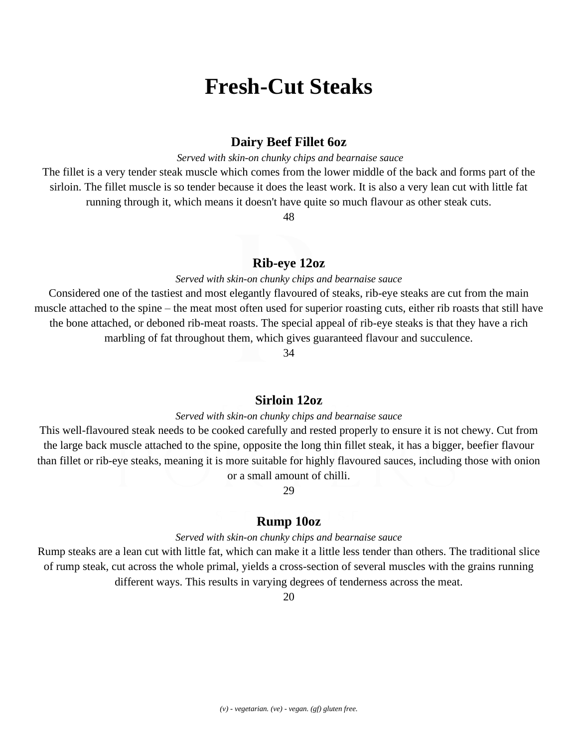# **Fresh-Cut Steaks**

## **Dairy Beef Fillet 6oz**

*Served with skin-on chunky chips and bearnaise sauce*

The fillet is a very tender steak muscle which comes from the lower middle of the back and forms part of the sirloin. The fillet muscle is so tender because it does the least work. It is also a very lean cut with little fat running through it, which means it doesn't have quite so much flavour as other steak cuts.

48

## **Rib-eye 12oz**

#### *Served with skin-on chunky chips and bearnaise sauce*

Considered one of the tastiest and most elegantly flavoured of steaks, rib-eye steaks are cut from the main muscle attached to the spine – the meat most often used for superior roasting cuts, either rib roasts that still have the bone attached, or deboned rib-meat roasts. The special appeal of rib-eye steaks is that they have a rich marbling of fat throughout them, which gives guaranteed flavour and succulence.

34

## **Sirloin 12oz**

#### *Served with skin-on chunky chips and bearnaise sauce*

This well-flavoured steak needs to be cooked carefully and rested properly to ensure it is not chewy. Cut from the large back muscle attached to the spine, opposite the long thin fillet steak, it has a bigger, beefier flavour than fillet or rib-eye steaks, meaning it is more suitable for highly flavoured sauces, including those with onion or a small amount of chilli.

29

#### **Rump 10oz**

#### *Served with skin-on chunky chips and bearnaise sauce*

Rump steaks are a lean cut with little fat, which can make it a little less tender than others. The traditional slice of rump steak, cut across the whole primal, yields a cross-section of several muscles with the grains running different ways. This results in varying degrees of tenderness across the meat.

20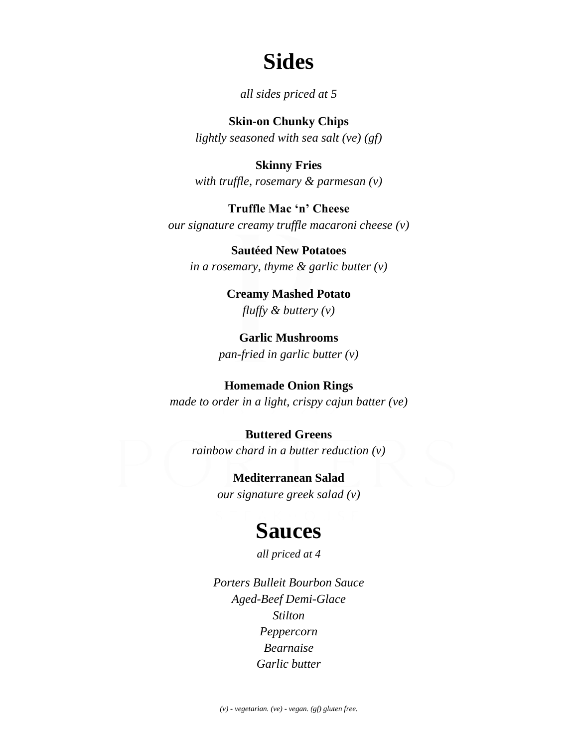# **Sides**

*all sides priced at 5*

**Skin-on Chunky Chips** *lightly seasoned with sea salt (ve) (gf)*

**Skinny Fries** *with truffle, rosemary & parmesan (v)*

**Truffle Mac 'n' Cheese** *our signature creamy truffle macaroni cheese (v)*

**Sautéed New Potatoes**  *in a rosemary, thyme & garlic butter (v)*

> **Creamy Mashed Potato** *fluffy & buttery (v)*

**Garlic Mushrooms** *pan-fried in garlic butter (v)*

**Homemade Onion Rings** *made to order in a light, crispy cajun batter (ve)*

**Buttered Greens** *rainbow chard in a butter reduction (v)*

> **Mediterranean Salad** *our signature greek salad (v)*

# **Sauces**

*all priced at 4*

*Porters Bulleit Bourbon Sauce Aged-Beef Demi-Glace Stilton Peppercorn Bearnaise Garlic butter*